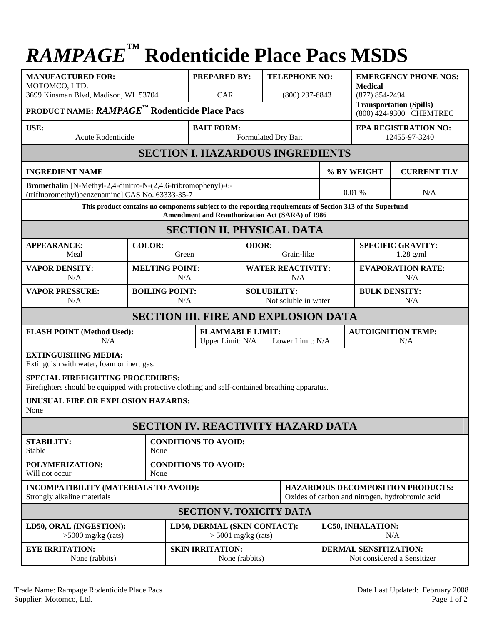## *RAMPAGE™* **Rodenticide Place Pacs MSDS**

| <b>MANUFACTURED FOR:</b><br>MOTOMCO, LTD.<br>3699 Kinsman Blvd, Madison, WI 53704                                                                             |                              | <b>PREPARED BY:</b><br>CAR                                      |                       | <b>TELEPHONE NO:</b><br>$(800)$ 237-6843   |                                                                                             | <b>EMERGENCY PHONE NOS:</b><br><b>Medical</b><br>$(877) 854 - 2494$ |  |  |  |
|---------------------------------------------------------------------------------------------------------------------------------------------------------------|------------------------------|-----------------------------------------------------------------|-----------------------|--------------------------------------------|---------------------------------------------------------------------------------------------|---------------------------------------------------------------------|--|--|--|
| <b>Transportation (Spills)</b><br><b>PRODUCT NAME: RAMPAGE<sup>TM</sup> Rodenticide Place Pacs</b><br>(800) 424-9300 CHEMTREC                                 |                              |                                                                 |                       |                                            |                                                                                             |                                                                     |  |  |  |
| USE:<br>Acute Rodenticide                                                                                                                                     |                              | <b>BAIT FORM:</b><br>Formulated Dry Bait                        |                       |                                            | <b>EPA REGISTRATION NO:</b><br>12455-97-3240                                                |                                                                     |  |  |  |
| <b>SECTION I. HAZARDOUS INGREDIENTS</b>                                                                                                                       |                              |                                                                 |                       |                                            |                                                                                             |                                                                     |  |  |  |
| <b>INGREDIENT NAME</b>                                                                                                                                        |                              |                                                                 |                       |                                            | % BY WEIGHT<br><b>CURRENT TLV</b>                                                           |                                                                     |  |  |  |
| Bromethalin [N-Methyl-2,4-dinitro-N-(2,4,6-tribromophenyl)-6-<br>(trifluoromethyl)benzenamine] CAS No. 63333-35-7                                             |                              |                                                                 |                       |                                            | 0.01%<br>N/A                                                                                |                                                                     |  |  |  |
| This product contains no components subject to the reporting requirements of Section 313 of the Superfund<br>Amendment and Reauthorization Act (SARA) of 1986 |                              |                                                                 |                       |                                            |                                                                                             |                                                                     |  |  |  |
| <b>SECTION II. PHYSICAL DATA</b>                                                                                                                              |                              |                                                                 |                       |                                            |                                                                                             |                                                                     |  |  |  |
| <b>APPEARANCE:</b><br>Meal                                                                                                                                    | <b>COLOR:</b>                | Green                                                           | ODOR:<br>Grain-like   |                                            |                                                                                             | <b>SPECIFIC GRAVITY:</b><br>$1.28$ g/ml                             |  |  |  |
| <b>VAPOR DENSITY:</b><br>N/A                                                                                                                                  |                              | <b>MELTING POINT:</b><br>N/A                                    |                       | <b>WATER REACTIVITY:</b><br>N/A            |                                                                                             | <b>EVAPORATION RATE:</b><br>N/A                                     |  |  |  |
| <b>VAPOR PRESSURE:</b><br>N/A                                                                                                                                 |                              | <b>BOILING POINT:</b><br>N/A                                    |                       | <b>SOLUBILITY:</b><br>Not soluble in water |                                                                                             | <b>BULK DENSITY:</b><br>N/A                                         |  |  |  |
| <b>SECTION III. FIRE AND EXPLOSION DATA</b>                                                                                                                   |                              |                                                                 |                       |                                            |                                                                                             |                                                                     |  |  |  |
| <b>FLASH POINT (Method Used):</b><br>N/A                                                                                                                      |                              | <b>FLAMMABLE LIMIT:</b><br>Upper Limit: N/A<br>Lower Limit: N/A |                       |                                            | <b>AUTOIGNITION TEMP:</b><br>N/A                                                            |                                                                     |  |  |  |
| <b>EXTINGUISHING MEDIA:</b><br>Extinguish with water, foam or inert gas.                                                                                      |                              |                                                                 |                       |                                            |                                                                                             |                                                                     |  |  |  |
| <b>SPECIAL FIREFIGHTING PROCEDURES:</b><br>Firefighters should be equipped with protective clothing and self-contained breathing apparatus.                   |                              |                                                                 |                       |                                            |                                                                                             |                                                                     |  |  |  |
| UNUSUAL FIRE OR EXPLOSION HAZARDS:<br>None                                                                                                                    |                              |                                                                 |                       |                                            |                                                                                             |                                                                     |  |  |  |
| <b>SECTION IV. REACTIVITY HAZARD DATA</b>                                                                                                                     |                              |                                                                 |                       |                                            |                                                                                             |                                                                     |  |  |  |
| <b>STABILITY:</b><br>Stable                                                                                                                                   | None                         | <b>CONDITIONS TO AVOID:</b>                                     |                       |                                            |                                                                                             |                                                                     |  |  |  |
| POLYMERIZATION:<br>Will not occur                                                                                                                             | None                         | <b>CONDITIONS TO AVOID:</b>                                     |                       |                                            |                                                                                             |                                                                     |  |  |  |
| INCOMPATIBILITY (MATERIALS TO AVOID):<br>Strongly alkaline materials                                                                                          |                              |                                                                 |                       |                                            | <b>HAZARDOUS DECOMPOSITION PRODUCTS:</b><br>Oxides of carbon and nitrogen, hydrobromic acid |                                                                     |  |  |  |
| <b>SECTION V. TOXICITY DATA</b>                                                                                                                               |                              |                                                                 |                       |                                            |                                                                                             |                                                                     |  |  |  |
| LD50, ORAL (INGESTION):<br>$>5000$ mg/kg (rats)                                                                                                               | LD50, DERMAL (SKIN CONTACT): |                                                                 | $>$ 5001 mg/kg (rats) |                                            |                                                                                             | LC50, INHALATION:<br>N/A                                            |  |  |  |
| <b>EYE IRRITATION:</b><br>None (rabbits)                                                                                                                      |                              | <b>SKIN IRRITATION:</b>                                         | None (rabbits)        |                                            |                                                                                             | DERMAL SENSITIZATION:<br>Not considered a Sensitizer                |  |  |  |